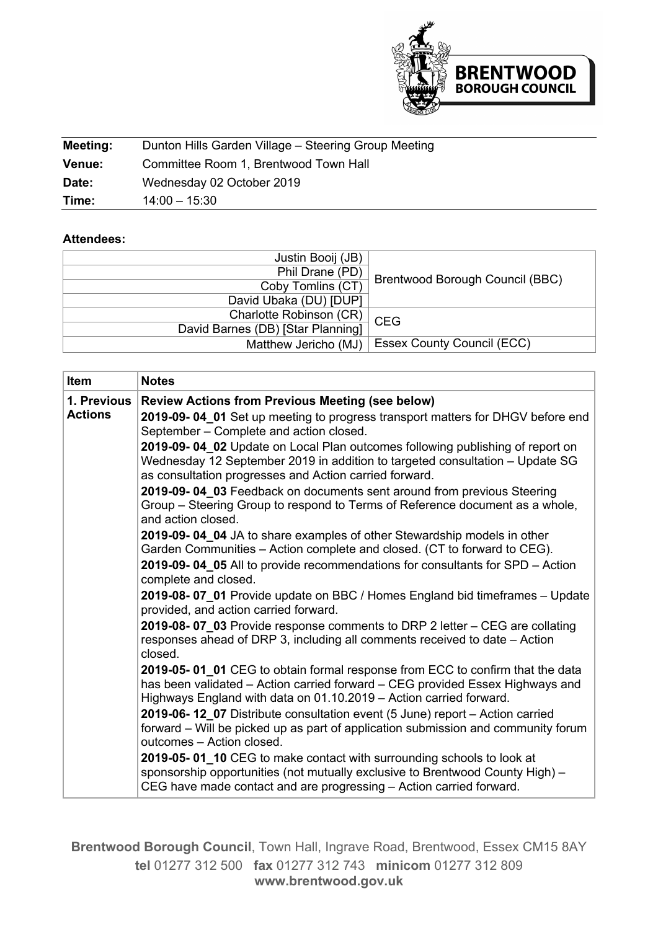

| Meeting:      | Dunton Hills Garden Village - Steering Group Meeting |
|---------------|------------------------------------------------------|
| <b>Venue:</b> | Committee Room 1, Brentwood Town Hall                |
| Date:         | Wednesday 02 October 2019                            |
| Time:         | $14:00 - 15:30$                                      |

## **Attendees:**

| Justin Booij (JB)                 |                                        |
|-----------------------------------|----------------------------------------|
| Phil Drane (PD)                   | <b>Brentwood Borough Council (BBC)</b> |
| Coby Tomlins (CT)                 |                                        |
| David Ubaka (DU) [DUP]            |                                        |
| Charlotte Robinson (CR)           | <b>CEG</b>                             |
| David Barnes (DB) [Star Planning] |                                        |
| Matthew Jericho (MJ)              | <b>Essex County Council (ECC)</b>      |

| <b>Item</b>    | <b>Notes</b>                                                                                                                                                                                                                         |  |  |  |  |  |
|----------------|--------------------------------------------------------------------------------------------------------------------------------------------------------------------------------------------------------------------------------------|--|--|--|--|--|
| 1. Previous    | <b>Review Actions from Previous Meeting (see below)</b>                                                                                                                                                                              |  |  |  |  |  |
| <b>Actions</b> | 2019-09-04_01 Set up meeting to progress transport matters for DHGV before end<br>September - Complete and action closed.                                                                                                            |  |  |  |  |  |
|                | 2019-09-04 02 Update on Local Plan outcomes following publishing of report on<br>Wednesday 12 September 2019 in addition to targeted consultation - Update SG<br>as consultation progresses and Action carried forward.              |  |  |  |  |  |
|                | 2019-09-04 03 Feedback on documents sent around from previous Steering<br>Group - Steering Group to respond to Terms of Reference document as a whole,<br>and action closed.                                                         |  |  |  |  |  |
|                | 2019-09-04_04 JA to share examples of other Stewardship models in other<br>Garden Communities - Action complete and closed. (CT to forward to CEG).                                                                                  |  |  |  |  |  |
|                | 2019-09-04 05 All to provide recommendations for consultants for SPD - Action<br>complete and closed.                                                                                                                                |  |  |  |  |  |
|                | 2019-08-07_01 Provide update on BBC / Homes England bid timeframes - Update<br>provided, and action carried forward.                                                                                                                 |  |  |  |  |  |
|                | 2019-08-07 03 Provide response comments to DRP 2 letter - CEG are collating<br>responses ahead of DRP 3, including all comments received to date - Action<br>closed.                                                                 |  |  |  |  |  |
|                | 2019-05-01_01 CEG to obtain formal response from ECC to confirm that the data<br>has been validated - Action carried forward - CEG provided Essex Highways and<br>Highways England with data on 01.10.2019 - Action carried forward. |  |  |  |  |  |
|                | 2019-06-12 07 Distribute consultation event (5 June) report - Action carried<br>forward – Will be picked up as part of application submission and community forum<br>outcomes - Action closed.                                       |  |  |  |  |  |
|                | 2019-05-01 10 CEG to make contact with surrounding schools to look at<br>sponsorship opportunities (not mutually exclusive to Brentwood County High) -<br>CEG have made contact and are progressing - Action carried forward.        |  |  |  |  |  |

**Brentwood Borough Council**, Town Hall, Ingrave Road, Brentwood, Essex CM15 8AY **tel** 01277 312 500 **fax** 01277 312 743 **minicom** 01277 312 809 **www.brentwood.gov.uk**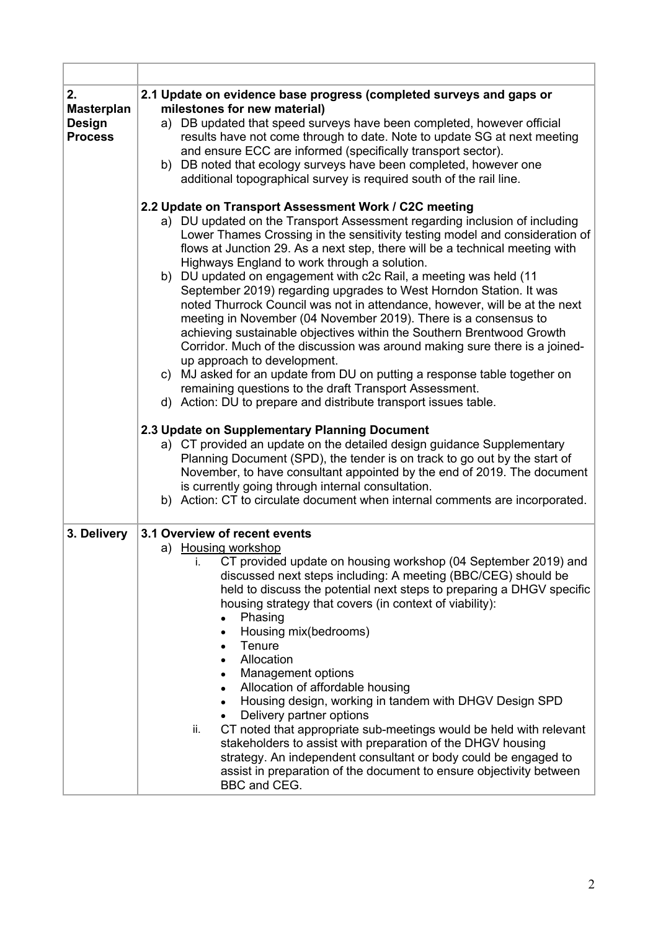| 2.<br><b>Masterplan</b><br><b>Design</b><br><b>Process</b>                                                                                                                                                                                                                                                                                                                                                                                                                                                                                                                                                                                                                                                                                                                                                                                                                                                                                                                                                                                     | 2.1 Update on evidence base progress (completed surveys and gaps or<br>milestones for new material)<br>a) DB updated that speed surveys have been completed, however official<br>results have not come through to date. Note to update SG at next meeting<br>and ensure ECC are informed (specifically transport sector).<br>b) DB noted that ecology surveys have been completed, however one<br>additional topographical survey is required south of the rail line.                                                                                                                                                                                                                                                                                                                                                                                                                                                       |  |  |  |  |  |
|------------------------------------------------------------------------------------------------------------------------------------------------------------------------------------------------------------------------------------------------------------------------------------------------------------------------------------------------------------------------------------------------------------------------------------------------------------------------------------------------------------------------------------------------------------------------------------------------------------------------------------------------------------------------------------------------------------------------------------------------------------------------------------------------------------------------------------------------------------------------------------------------------------------------------------------------------------------------------------------------------------------------------------------------|-----------------------------------------------------------------------------------------------------------------------------------------------------------------------------------------------------------------------------------------------------------------------------------------------------------------------------------------------------------------------------------------------------------------------------------------------------------------------------------------------------------------------------------------------------------------------------------------------------------------------------------------------------------------------------------------------------------------------------------------------------------------------------------------------------------------------------------------------------------------------------------------------------------------------------|--|--|--|--|--|
| 2.2 Update on Transport Assessment Work / C2C meeting<br>a) DU updated on the Transport Assessment regarding inclusion of including<br>Lower Thames Crossing in the sensitivity testing model and consideration of<br>flows at Junction 29. As a next step, there will be a technical meeting with<br>Highways England to work through a solution.<br>b) DU updated on engagement with c2c Rail, a meeting was held (11<br>September 2019) regarding upgrades to West Horndon Station. It was<br>noted Thurrock Council was not in attendance, however, will be at the next<br>meeting in November (04 November 2019). There is a consensus to<br>achieving sustainable objectives within the Southern Brentwood Growth<br>Corridor. Much of the discussion was around making sure there is a joined-<br>up approach to development.<br>c) MJ asked for an update from DU on putting a response table together on<br>remaining questions to the draft Transport Assessment.<br>d) Action: DU to prepare and distribute transport issues table. |                                                                                                                                                                                                                                                                                                                                                                                                                                                                                                                                                                                                                                                                                                                                                                                                                                                                                                                             |  |  |  |  |  |
|                                                                                                                                                                                                                                                                                                                                                                                                                                                                                                                                                                                                                                                                                                                                                                                                                                                                                                                                                                                                                                                | 2.3 Update on Supplementary Planning Document<br>a) CT provided an update on the detailed design guidance Supplementary<br>Planning Document (SPD), the tender is on track to go out by the start of<br>November, to have consultant appointed by the end of 2019. The document<br>is currently going through internal consultation.<br>b) Action: CT to circulate document when internal comments are incorporated.                                                                                                                                                                                                                                                                                                                                                                                                                                                                                                        |  |  |  |  |  |
| 3. Delivery                                                                                                                                                                                                                                                                                                                                                                                                                                                                                                                                                                                                                                                                                                                                                                                                                                                                                                                                                                                                                                    | 3.1 Overview of recent events<br>a) Housing workshop<br>CT provided update on housing workshop (04 September 2019) and<br>discussed next steps including: A meeting (BBC/CEG) should be<br>held to discuss the potential next steps to preparing a DHGV specific<br>housing strategy that covers (in context of viability):<br>Phasing<br>Housing mix(bedrooms)<br>$\bullet$<br>Tenure<br>$\bullet$<br>Allocation<br>Management options<br>$\bullet$<br>Allocation of affordable housing<br>$\bullet$<br>Housing design, working in tandem with DHGV Design SPD<br>$\bullet$<br>Delivery partner options<br>$\bullet$<br>CT noted that appropriate sub-meetings would be held with relevant<br>ii.<br>stakeholders to assist with preparation of the DHGV housing<br>strategy. An independent consultant or body could be engaged to<br>assist in preparation of the document to ensure objectivity between<br>BBC and CEG. |  |  |  |  |  |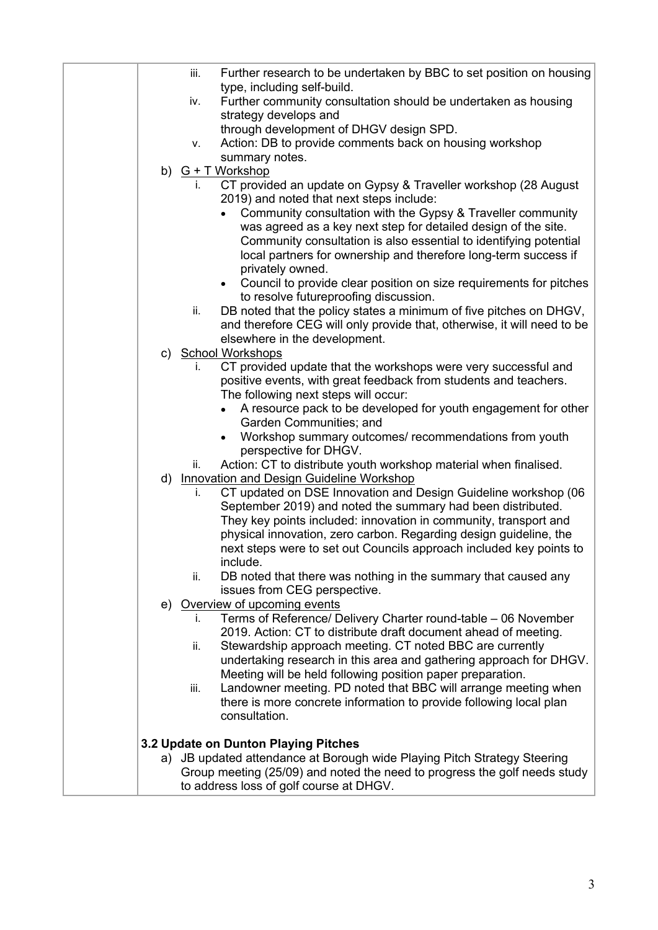|  | iii. | Further research to be undertaken by BBC to set position on housing                                                         |
|--|------|-----------------------------------------------------------------------------------------------------------------------------|
|  |      | type, including self-build.                                                                                                 |
|  | iv.  | Further community consultation should be undertaken as housing                                                              |
|  |      | strategy develops and                                                                                                       |
|  |      | through development of DHGV design SPD.                                                                                     |
|  | v.   | Action: DB to provide comments back on housing workshop                                                                     |
|  |      | summary notes.                                                                                                              |
|  | i.   | b) $G + T$ Workshop<br>CT provided an update on Gypsy & Traveller workshop (28 August                                       |
|  |      | 2019) and noted that next steps include:                                                                                    |
|  |      | Community consultation with the Gypsy & Traveller community                                                                 |
|  |      | was agreed as a key next step for detailed design of the site.                                                              |
|  |      | Community consultation is also essential to identifying potential                                                           |
|  |      | local partners for ownership and therefore long-term success if                                                             |
|  |      | privately owned.                                                                                                            |
|  |      | Council to provide clear position on size requirements for pitches<br>$\bullet$                                             |
|  |      | to resolve futureproofing discussion.                                                                                       |
|  | ii.  | DB noted that the policy states a minimum of five pitches on DHGV,                                                          |
|  |      | and therefore CEG will only provide that, otherwise, it will need to be                                                     |
|  |      | elsewhere in the development.                                                                                               |
|  |      | c) School Workshops                                                                                                         |
|  | i.   | CT provided update that the workshops were very successful and                                                              |
|  |      | positive events, with great feedback from students and teachers.                                                            |
|  |      | The following next steps will occur:                                                                                        |
|  |      | A resource pack to be developed for youth engagement for other                                                              |
|  |      | Garden Communities; and<br>Workshop summary outcomes/ recommendations from youth                                            |
|  |      | perspective for DHGV.                                                                                                       |
|  | ii.  | Action: CT to distribute youth workshop material when finalised.                                                            |
|  |      | d) Innovation and Design Guideline Workshop                                                                                 |
|  | İ.   | CT updated on DSE Innovation and Design Guideline workshop (06                                                              |
|  |      | September 2019) and noted the summary had been distributed.                                                                 |
|  |      | They key points included: innovation in community, transport and                                                            |
|  |      | physical innovation, zero carbon. Regarding design guideline, the                                                           |
|  |      | next steps were to set out Councils approach included key points to                                                         |
|  |      | include.                                                                                                                    |
|  | ii.  | DB noted that there was nothing in the summary that caused any                                                              |
|  |      | issues from CEG perspective.                                                                                                |
|  |      | e) Overview of upcoming events                                                                                              |
|  | İ.   | Terms of Reference/ Delivery Charter round-table - 06 November                                                              |
|  | ii.  | 2019. Action: CT to distribute draft document ahead of meeting.<br>Stewardship approach meeting. CT noted BBC are currently |
|  |      | undertaking research in this area and gathering approach for DHGV.                                                          |
|  |      | Meeting will be held following position paper preparation.                                                                  |
|  | iii. | Landowner meeting. PD noted that BBC will arrange meeting when                                                              |
|  |      | there is more concrete information to provide following local plan                                                          |
|  |      | consultation.                                                                                                               |
|  |      |                                                                                                                             |
|  |      | 3.2 Update on Dunton Playing Pitches                                                                                        |
|  |      | a) JB updated attendance at Borough wide Playing Pitch Strategy Steering                                                    |
|  |      | Group meeting (25/09) and noted the need to progress the golf needs study                                                   |
|  |      | to address loss of golf course at DHGV.                                                                                     |
|  |      |                                                                                                                             |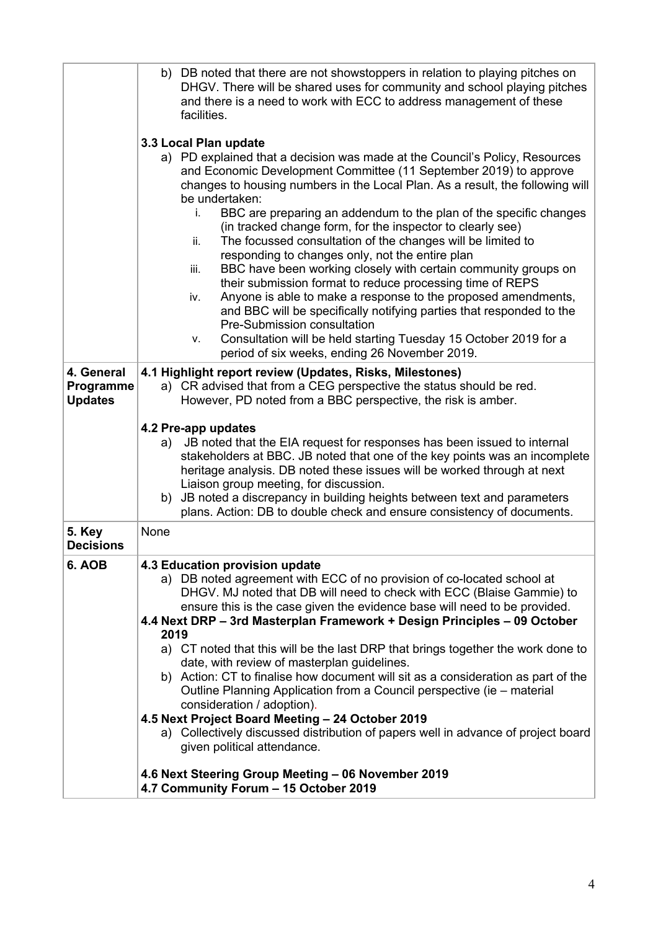|                                           | b) DB noted that there are not showstoppers in relation to playing pitches on<br>DHGV. There will be shared uses for community and school playing pitches<br>and there is a need to work with ECC to address management of these<br>facilities.                                                                                                                                                                                                                                                                                                                                                                                                                                                                                                                                                                                                                                                                                                                                                 |  |  |  |  |  |
|-------------------------------------------|-------------------------------------------------------------------------------------------------------------------------------------------------------------------------------------------------------------------------------------------------------------------------------------------------------------------------------------------------------------------------------------------------------------------------------------------------------------------------------------------------------------------------------------------------------------------------------------------------------------------------------------------------------------------------------------------------------------------------------------------------------------------------------------------------------------------------------------------------------------------------------------------------------------------------------------------------------------------------------------------------|--|--|--|--|--|
|                                           | 3.3 Local Plan update<br>a) PD explained that a decision was made at the Council's Policy, Resources<br>and Economic Development Committee (11 September 2019) to approve<br>changes to housing numbers in the Local Plan. As a result, the following will<br>be undertaken:<br>BBC are preparing an addendum to the plan of the specific changes<br>i.<br>(in tracked change form, for the inspector to clearly see)<br>The focussed consultation of the changes will be limited to<br>ii.<br>responding to changes only, not the entire plan<br>BBC have been working closely with certain community groups on<br>iii.<br>their submission format to reduce processing time of REPS<br>Anyone is able to make a response to the proposed amendments,<br>iv.<br>and BBC will be specifically notifying parties that responded to the<br>Pre-Submission consultation<br>Consultation will be held starting Tuesday 15 October 2019 for a<br>v.<br>period of six weeks, ending 26 November 2019. |  |  |  |  |  |
| 4. General<br>Programme<br><b>Updates</b> | 4.1 Highlight report review (Updates, Risks, Milestones)<br>a) CR advised that from a CEG perspective the status should be red.<br>However, PD noted from a BBC perspective, the risk is amber.                                                                                                                                                                                                                                                                                                                                                                                                                                                                                                                                                                                                                                                                                                                                                                                                 |  |  |  |  |  |
|                                           | 4.2 Pre-app updates<br>JB noted that the EIA request for responses has been issued to internal<br>a)<br>stakeholders at BBC. JB noted that one of the key points was an incomplete<br>heritage analysis. DB noted these issues will be worked through at next<br>Liaison group meeting, for discussion.<br>b) JB noted a discrepancy in building heights between text and parameters<br>plans. Action: DB to double check and ensure consistency of documents.                                                                                                                                                                                                                                                                                                                                                                                                                                                                                                                                  |  |  |  |  |  |
| 5. Key<br><b>Decisions</b>                | None                                                                                                                                                                                                                                                                                                                                                                                                                                                                                                                                                                                                                                                                                                                                                                                                                                                                                                                                                                                            |  |  |  |  |  |
| 6. AOB                                    | 4.3 Education provision update<br>a) DB noted agreement with ECC of no provision of co-located school at<br>DHGV. MJ noted that DB will need to check with ECC (Blaise Gammie) to<br>ensure this is the case given the evidence base will need to be provided.<br>4.4 Next DRP - 3rd Masterplan Framework + Design Principles - 09 October<br>2019<br>a) CT noted that this will be the last DRP that brings together the work done to<br>date, with review of masterplan guidelines.<br>b) Action: CT to finalise how document will sit as a consideration as part of the<br>Outline Planning Application from a Council perspective (ie - material<br>consideration / adoption).<br>4.5 Next Project Board Meeting - 24 October 2019<br>a) Collectively discussed distribution of papers well in advance of project board<br>given political attendance.<br>4.6 Next Steering Group Meeting - 06 November 2019                                                                                |  |  |  |  |  |
|                                           | 4.7 Community Forum - 15 October 2019                                                                                                                                                                                                                                                                                                                                                                                                                                                                                                                                                                                                                                                                                                                                                                                                                                                                                                                                                           |  |  |  |  |  |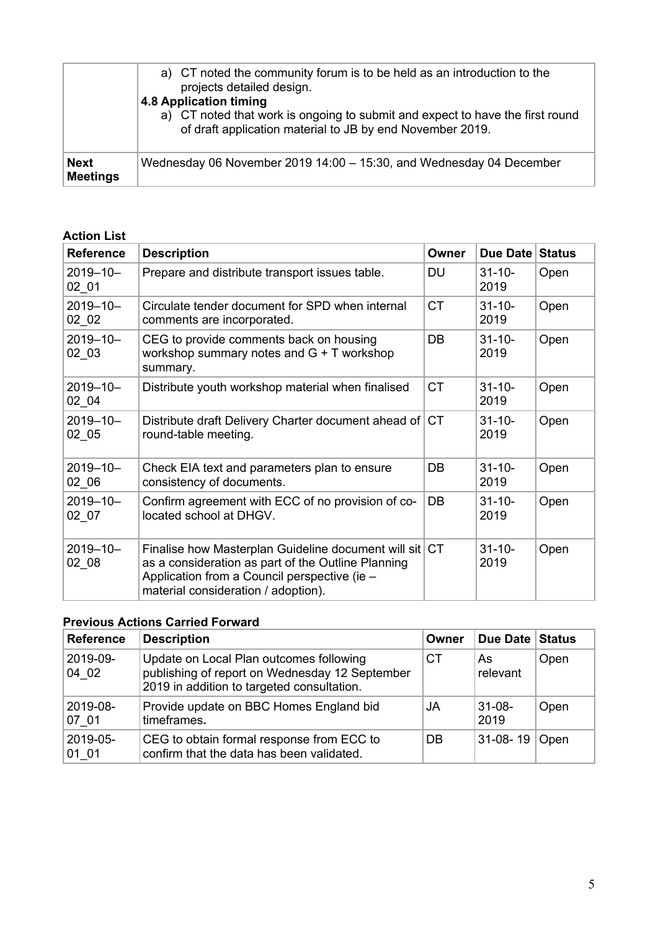|                         | a) CT noted the community forum is to be held as an introduction to the<br>projects detailed design.<br>4.8 Application timing<br>a) CT noted that work is ongoing to submit and expect to have the first round<br>of draft application material to JB by end November 2019. |
|-------------------------|------------------------------------------------------------------------------------------------------------------------------------------------------------------------------------------------------------------------------------------------------------------------------|
| <b>Next</b><br>Meetings | Wednesday 06 November 2019 14:00 - 15:30, and Wednesday 04 December                                                                                                                                                                                                          |

## **Action List**

| <b>Reference</b>       | <b>Description</b>                                                                                                                                                                                  | <b>Owner</b> | <b>Due Date</b>     | <b>Status</b> |
|------------------------|-----------------------------------------------------------------------------------------------------------------------------------------------------------------------------------------------------|--------------|---------------------|---------------|
| $2019 - 10 -$<br>02 01 | Prepare and distribute transport issues table.                                                                                                                                                      | DU           | $31 - 10 -$<br>2019 | Open          |
| $2019 - 10 -$<br>02 02 | Circulate tender document for SPD when internal<br>comments are incorporated.                                                                                                                       | <b>CT</b>    | $31 - 10 -$<br>2019 | Open          |
| $2019 - 10 -$<br>02 03 | CEG to provide comments back on housing<br>workshop summary notes and $G + T$ workshop<br>summary.                                                                                                  | <b>DB</b>    | $31 - 10 -$<br>2019 | Open          |
| $2019 - 10 -$<br>02 04 | Distribute youth workshop material when finalised                                                                                                                                                   | <b>CT</b>    | $31 - 10 -$<br>2019 | Open          |
| $2019 - 10 -$<br>02 05 | Distribute draft Delivery Charter document ahead of<br>round-table meeting.                                                                                                                         | <b>CT</b>    | $31 - 10 -$<br>2019 | Open          |
| $2019 - 10 -$<br>02 06 | Check EIA text and parameters plan to ensure<br>consistency of documents.                                                                                                                           | DB           | $31 - 10 -$<br>2019 | Open          |
| $2019 - 10 -$<br>02 07 | Confirm agreement with ECC of no provision of co-<br>located school at DHGV.                                                                                                                        | DB           | $31 - 10 -$<br>2019 | Open          |
| $2019 - 10 -$<br>02 08 | Finalise how Masterplan Guideline document will sit CT<br>as a consideration as part of the Outline Planning<br>Application from a Council perspective (ie -<br>material consideration / adoption). |              | $31 - 10 -$<br>2019 | Open          |

## **Previous Actions Carried Forward**

| <b>Reference</b>  | <b>Description</b>                                                                                                                      | Owner | Due Date Status     |      |
|-------------------|-----------------------------------------------------------------------------------------------------------------------------------------|-------|---------------------|------|
| 2019-09-<br>04 02 | Update on Local Plan outcomes following<br>publishing of report on Wednesday 12 September<br>2019 in addition to targeted consultation. | СT    | As<br>relevant      | Open |
| 2019-08-<br>07 01 | Provide update on BBC Homes England bid<br>timeframes.                                                                                  | JA    | $31 - 08 -$<br>2019 | Open |
| 2019-05-<br>01 01 | CEG to obtain formal response from ECC to<br>confirm that the data has been validated.                                                  | DB    | $31-08-19$          | Open |